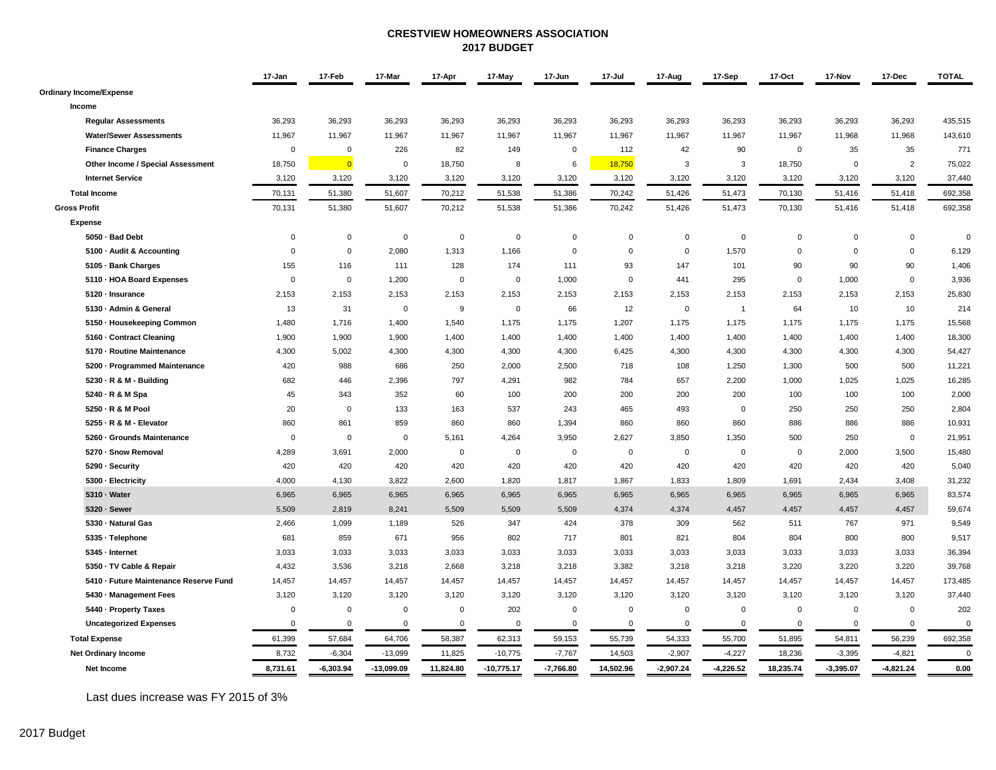#### **CRESTVIEW HOMEOWNERS ASSOCIATION 2017 BUDGET**

|                                        | 17-Jan      | 17-Feb         | 17-Mar       | 17-Apr      | 17-May       | 17-Jun      | 17-Jul      | 17-Aug         | 17-Sep         | 17-Oct      | 17-Nov      | 17-Dec         | <b>TOTAL</b> |
|----------------------------------------|-------------|----------------|--------------|-------------|--------------|-------------|-------------|----------------|----------------|-------------|-------------|----------------|--------------|
| <b>Ordinary Income/Expense</b>         |             |                |              |             |              |             |             |                |                |             |             |                |              |
| Income                                 |             |                |              |             |              |             |             |                |                |             |             |                |              |
| <b>Regular Assessments</b>             | 36,293      | 36,293         | 36,293       | 36,293      | 36,293       | 36,293      | 36,293      | 36,293         | 36,293         | 36,293      | 36,293      | 36,293         | 435,515      |
| <b>Water/Sewer Assessments</b>         | 11,967      | 11,967         | 11,967       | 11,967      | 11,967       | 11,967      | 11,967      | 11,967         | 11,967         | 11,967      | 11,968      | 11,968         | 143,610      |
| <b>Finance Charges</b>                 | $\mathbf 0$ | $\Omega$       | 226          | 82          | 149          | $\Omega$    | 112         | 42             | 90             | $\mathbf 0$ | 35          | 35             | 771          |
| Other Income / Special Assessment      | 18,750      | $\overline{0}$ | $\mathbf 0$  | 18,750      | 8            | 6           | 18,750      | 3              | 3              | 18,750      | $\mathsf 0$ | $\overline{2}$ | 75,022       |
| <b>Internet Service</b>                | 3,120       | 3,120          | 3,120        | 3,120       | 3,120        | 3,120       | 3,120       | 3,120          | 3,120          | 3,120       | 3,120       | 3,120          | 37,440       |
| <b>Total Income</b>                    | 70,131      | 51,380         | 51,607       | 70,212      | 51,538       | 51,386      | 70,242      | 51,426         | 51,473         | 70,130      | 51,416      | 51,418         | 692,358      |
| <b>Gross Profit</b>                    | 70,131      | 51,380         | 51,607       | 70,212      | 51,538       | 51,386      | 70,242      | 51,426         | 51,473         | 70,130      | 51,416      | 51,418         | 692,358      |
| <b>Expense</b>                         |             |                |              |             |              |             |             |                |                |             |             |                |              |
| 5050 · Bad Debt                        | $\mathsf 0$ | $\mathbf 0$    | $\mathsf 0$  | $\mathbf 0$ | $\mathbf 0$  | $\mathsf 0$ | $\mathbf 0$ | $\overline{0}$ | $\mathsf 0$    | $\mathbf 0$ | $\mathbf 0$ | $\mathbf 0$    | $\Omega$     |
| 5100 - Audit & Accounting              | $\mathbf 0$ | $\mathbf 0$    | 2,080        | 1,313       | 1,166        | $\mathsf 0$ | $\mathsf 0$ | $\mathbf 0$    | 1,570          | $\mathbf 0$ | $\mathbf 0$ | $\mathbf 0$    | 6,129        |
| 5105 · Bank Charges                    | 155         | 116            | 111          | 128         | 174          | 111         | 93          | 147            | 101            | 90          | 90          | 90             | 1,406        |
| 5110 - HOA Board Expenses              | $\mathbf 0$ | $\mathsf 0$    | 1,200        | $\mathbf 0$ | $\mathbf 0$  | 1,000       | $\mathsf 0$ | 441            | 295            | $\mathsf 0$ | 1,000       | $\mathbf 0$    | 3,936        |
| 5120 · Insurance                       | 2,153       | 2,153          | 2,153        | 2,153       | 2,153        | 2,153       | 2,153       | 2,153          | 2,153          | 2,153       | 2,153       | 2,153          | 25,830       |
| 5130 · Admin & General                 | 13          | 31             | $\mathbf 0$  | 9           | $\mathsf 0$  | 66          | 12          | $\mathbf 0$    | $\overline{1}$ | 64          | 10          | 10             | 214          |
| 5150 · Housekeeping Common             | 1,480       | 1,716          | 1,400        | 1,540       | 1,175        | 1,175       | 1,207       | 1,175          | 1,175          | 1,175       | 1,175       | 1,175          | 15,568       |
| 5160 - Contract Cleaning               | 1,900       | 1,900          | 1,900        | 1,400       | 1,400        | 1,400       | 1,400       | 1,400          | 1,400          | 1,400       | 1,400       | 1,400          | 18,300       |
| 5170 - Routine Maintenance             | 4,300       | 5,002          | 4,300        | 4,300       | 4,300        | 4,300       | 6,425       | 4,300          | 4,300          | 4,300       | 4,300       | 4,300          | 54,427       |
| 5200 - Programmed Maintenance          | 420         | 988            | 686          | 250         | 2,000        | 2,500       | 718         | 108            | 1,250          | 1,300       | 500         | 500            | 11,221       |
| 5230 - R & M - Building                | 682         | 446            | 2,396        | 797         | 4,291        | 982         | 784         | 657            | 2,200          | 1,000       | 1,025       | 1,025          | 16,285       |
| 5240 · R & M Spa                       | 45          | 343            | 352          | 60          | 100          | 200         | 200         | 200            | 200            | 100         | 100         | 100            | 2,000        |
| 5250 - R & M Pool                      | 20          | $\mathbf 0$    | 133          | 163         | 537          | 243         | 465         | 493            | $\mathbf 0$    | 250         | 250         | 250            | 2,804        |
| 5255 - R & M - Elevator                | 860         | 861            | 859          | 860         | 860          | 1,394       | 860         | 860            | 860            | 886         | 886         | 886            | 10,931       |
| 5260 · Grounds Maintenance             | $\mathbf 0$ | $\mathbf{0}$   | $\mathbf 0$  | 5.161       | 4,264        | 3,950       | 2,627       | 3,850          | 1,350          | 500         | 250         | $\Omega$       | 21,951       |
| 5270 · Snow Removal                    | 4,289       | 3,691          | 2,000        | $\mathbf 0$ | $\mathbf 0$  | $\mathbf 0$ | $\mathbf 0$ | $\mathbf 0$    | $\mathbf 0$    | $\mathbf 0$ | 2,000       | 3,500          | 15,480       |
| 5290 · Security                        | 420         | 420            | 420          | 420         | 420          | 420         | 420         | 420            | 420            | 420         | 420         | 420            | 5,040        |
| 5300 - Electricity                     | 4,000       | 4,130          | 3,822        | 2.600       | 1,820        | 1,817       | 1,867       | 1.833          | 1,809          | 1,691       | 2,434       | 3,408          | 31,232       |
| 5310 - Water                           | 6,965       | 6,965          | 6,965        | 6,965       | 6,965        | 6,965       | 6,965       | 6,965          | 6,965          | 6,965       | 6,965       | 6,965          | 83,574       |
| 5320 · Sewer                           | 5,509       | 2,819          | 8,241        | 5,509       | 5,509        | 5,509       | 4,374       | 4,374          | 4,457          | 4,457       | 4,457       | 4,457          | 59,674       |
| 5330 · Natural Gas                     | 2,466       | 1,099          | 1,189        | 526         | 347          | 424         | 378         | 309            | 562            | 511         | 767         | 971            | 9,549        |
| 5335 · Telephone                       | 681         | 859            | 671          | 956         | 802          | 717         | 801         | 821            | 804            | 804         | 800         | 800            | 9,517        |
| 5345 - Internet                        | 3,033       | 3,033          | 3,033        | 3,033       | 3,033        | 3,033       | 3,033       | 3,033          | 3,033          | 3,033       | 3,033       | 3,033          | 36,394       |
| 5350 · TV Cable & Repair               | 4,432       | 3,536          | 3,218        | 2,668       | 3,218        | 3,218       | 3,382       | 3,218          | 3,218          | 3,220       | 3,220       | 3,220          | 39,768       |
| 5410 - Future Maintenance Reserve Fund | 14,457      | 14,457         | 14,457       | 14,457      | 14,457       | 14,457      | 14,457      | 14,457         | 14,457         | 14,457      | 14,457      | 14,457         | 173,485      |
| 5430 · Management Fees                 | 3,120       | 3,120          | 3,120        | 3,120       | 3,120        | 3,120       | 3,120       | 3,120          | 3,120          | 3,120       | 3,120       | 3,120          | 37,440       |
| 5440 - Property Taxes                  | $\mathsf 0$ | $\mathbf 0$    | $\mathbf 0$  | $\mathbf 0$ | 202          | $\mathsf 0$ | $\mathbf 0$ | $\mathbf 0$    | $\mathsf 0$    | $\mathbf 0$ | $\Omega$    | $\mathbf 0$    | 202          |
| <b>Uncategorized Expenses</b>          | $\mathbf 0$ | $\mathbf 0$    | $\mathbf 0$  | $\mathbf 0$ | $\mathbf 0$  | $\mathbf 0$ | $\mathbf 0$ | $\mathbf 0$    | $\mathbf 0$    | $\mathbf 0$ | $\mathbf 0$ | $\mathbf 0$    | $\Omega$     |
| <b>Total Expense</b>                   | 61,399      | 57,684         | 64,706       | 58,387      | 62,313       | 59,153      | 55,739      | 54,333         | 55,700         | 51,895      | 54,811      | 56,239         | 692,358      |
| <b>Net Ordinary Income</b>             | 8,732       | $-6,304$       | $-13,099$    | 11,825      | $-10,775$    | $-7,767$    | 14,503      | $-2,907$       | $-4,227$       | 18,236      | $-3,395$    | $-4,821$       | $\mathbf 0$  |
| Net Income                             | 8,731.61    | $-6,303.94$    | $-13,099.09$ | 11,824.80   | $-10,775.17$ | $-7,766.80$ | 14,502.96   | $-2.907.24$    | $-4,226.52$    | 18,235.74   | $-3,395.07$ | $-4,821.24$    | 0.00         |

Last dues increase was FY 2015 of 3%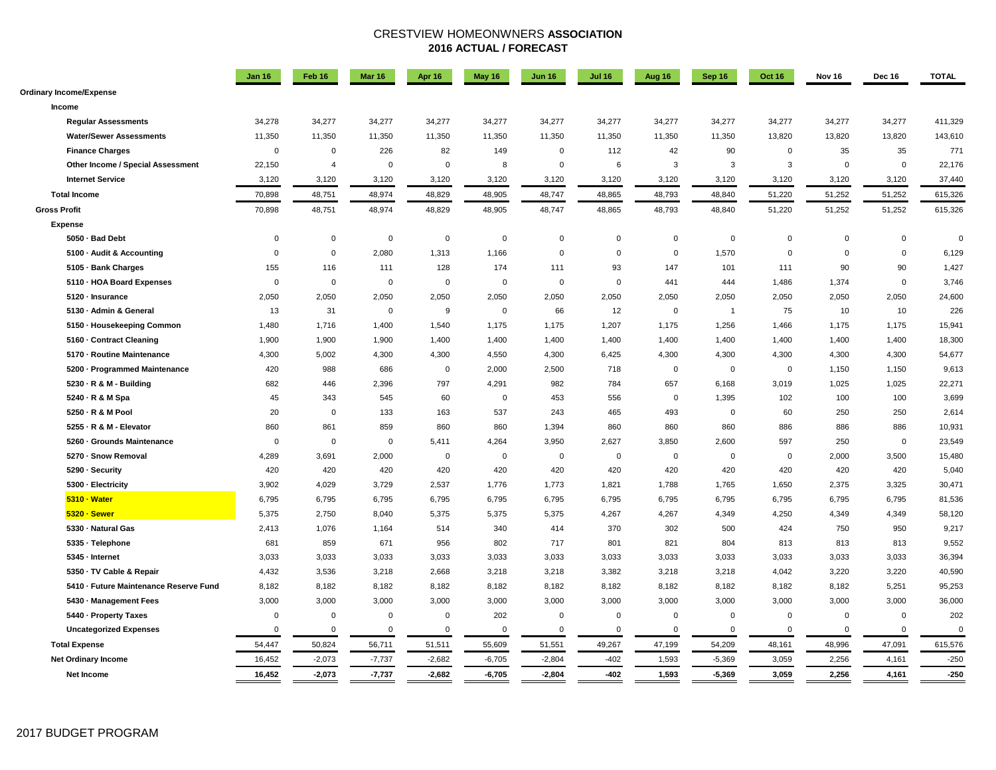### CRESTVIEW HOMEONWNERS **ASSOCIATION 2016 ACTUAL / FORECAST**

|                                        | <b>Jan 16</b> | Feb 16         | Mar 16      | <b>Apr 16</b> | May 16      | <b>Jun 16</b> | <b>Jul 16</b> | Aug 16      | Sep 16         | <b>Oct 16</b> | Nov 16      | Dec 16      | <b>TOTAL</b> |
|----------------------------------------|---------------|----------------|-------------|---------------|-------------|---------------|---------------|-------------|----------------|---------------|-------------|-------------|--------------|
| <b>Ordinary Income/Expense</b>         |               |                |             |               |             |               |               |             |                |               |             |             |              |
| Income                                 |               |                |             |               |             |               |               |             |                |               |             |             |              |
| <b>Regular Assessments</b>             | 34,278        | 34,277         | 34,277      | 34,277        | 34,277      | 34,277        | 34,277        | 34,277      | 34,277         | 34,277        | 34,277      | 34,277      | 411,329      |
| <b>Water/Sewer Assessments</b>         | 11,350        | 11,350         | 11,350      | 11,350        | 11,350      | 11,350        | 11,350        | 11,350      | 11,350         | 13,820        | 13,820      | 13,820      | 143,610      |
| <b>Finance Charges</b>                 | $\mathbf 0$   | $\Omega$       | 226         | 82            | 149         | $\Omega$      | 112           | 42          | 90             | $\mathbf 0$   | 35          | 35          | 771          |
| Other Income / Special Assessment      | 22,150        | $\overline{4}$ | $\mathbf 0$ | $\Omega$      | 8           | $\mathbf 0$   | 6             | 3           | 3              | 3             | $\mathbf 0$ | $\mathbf 0$ | 22,176       |
| <b>Internet Service</b>                | 3,120         | 3,120          | 3,120       | 3,120         | 3,120       | 3,120         | 3,120         | 3,120       | 3,120          | 3,120         | 3,120       | 3,120       | 37,440       |
| <b>Total Income</b>                    | 70,898        | 48,751         | 48,974      | 48,829        | 48,905      | 48,747        | 48,865        | 48,793      | 48,840         | 51,220        | 51,252      | 51,252      | 615,326      |
| <b>Gross Profit</b>                    | 70,898        | 48,751         | 48,974      | 48,829        | 48,905      | 48,747        | 48,865        | 48,793      | 48,840         | 51,220        | 51,252      | 51,252      | 615,326      |
| <b>Expense</b>                         |               |                |             |               |             |               |               |             |                |               |             |             |              |
| 5050 · Bad Debt                        | $\Omega$      | $\Omega$       | $\mathbf 0$ | $\Omega$      | $\Omega$    | $\Omega$      | $\Omega$      | $\mathbf 0$ | $\mathbf 0$    | $\mathbf 0$   | $\Omega$    | $\Omega$    | $\Omega$     |
| 5100 · Audit & Accounting              | $\Omega$      | $\mathsf 0$    | 2,080       | 1,313         | 1,166       | $\mathbf 0$   | $\Omega$      | $\mathbf 0$ | 1,570          | $\mathbf 0$   | $\mathbf 0$ | $\mathbf 0$ | 6,129        |
| 5105 - Bank Charges                    | 155           | 116            | 111         | 128           | 174         | 111           | 93            | 147         | 101            | 111           | 90          | 90          | 1,427        |
| 5110 - HOA Board Expenses              | $\mathbf 0$   | $\mathbf 0$    | $\mathbf 0$ | $\mathbf 0$   | $\mathbf 0$ | $\Omega$      | $\mathbf{0}$  | 441         | 444            | 1,486         | 1,374       | $\mathbf 0$ | 3,746        |
| 5120 · Insurance                       | 2,050         | 2,050          | 2,050       | 2,050         | 2,050       | 2,050         | 2,050         | 2,050       | 2,050          | 2,050         | 2,050       | 2,050       | 24,600       |
| 5130 · Admin & General                 | 13            | 31             | $\mathbf 0$ | 9             | $\mathbf 0$ | 66            | 12            | $\mathbf 0$ | $\overline{1}$ | 75            | 10          | 10          | 226          |
| 5150 · Housekeeping Common             | 1,480         | 1,716          | 1,400       | 1,540         | 1,175       | 1,175         | 1,207         | 1,175       | 1,256          | 1,466         | 1,175       | 1,175       | 15,941       |
| 5160 - Contract Cleaning               | 1,900         | 1,900          | 1,900       | 1,400         | 1,400       | 1,400         | 1,400         | 1,400       | 1,400          | 1,400         | 1,400       | 1,400       | 18,300       |
| 5170 · Routine Maintenance             | 4,300         | 5,002          | 4,300       | 4,300         | 4,550       | 4,300         | 6,425         | 4,300       | 4,300          | 4,300         | 4,300       | 4,300       | 54,677       |
| 5200 · Programmed Maintenance          | 420           | 988            | 686         | $\mathbf 0$   | 2,000       | 2,500         | 718           | $\mathbf 0$ | $\mathbf 0$    | $\mathbf 0$   | 1,150       | 1,150       | 9,613        |
| 5230 · R & M - Building                | 682           | 446            | 2,396       | 797           | 4,291       | 982           | 784           | 657         | 6,168          | 3,019         | 1,025       | 1,025       | 22,271       |
| 5240 · R & M Spa                       | 45            | 343            | 545         | 60            | $\Omega$    | 453           | 556           | $\mathbf 0$ | 1,395          | 102           | 100         | 100         | 3,699        |
| 5250 - R & M Pool                      | 20            | 0              | 133         | 163           | 537         | 243           | 465           | 493         | $\mathbf 0$    | 60            | 250         | 250         | 2,614        |
| 5255 - R & M - Elevator                | 860           | 861            | 859         | 860           | 860         | 1,394         | 860           | 860         | 860            | 886           | 886         | 886         | 10,931       |
| 5260 · Grounds Maintenance             | $\mathbf 0$   | $\Omega$       | $\mathbf 0$ | 5,411         | 4,264       | 3,950         | 2,627         | 3,850       | 2,600          | 597           | 250         | $\mathbf 0$ | 23,549       |
| 5270 - Snow Removal                    | 4,289         | 3,691          | 2,000       | $\mathbf 0$   | $\mathbf 0$ | $\mathbf 0$   | $\mathbf 0$   | $\mathbf 0$ | $\mathbf 0$    | $\mathbf 0$   | 2,000       | 3,500       | 15,480       |
| 5290 · Security                        | 420           | 420            | 420         | 420           | 420         | 420           | 420           | 420         | 420            | 420           | 420         | 420         | 5,040        |
| 5300 - Electricity                     | 3,902         | 4,029          | 3,729       | 2,537         | 1,776       | 1,773         | 1,821         | 1,788       | 1,765          | 1,650         | 2,375       | 3,325       | 30,471       |
| 5310 · Water                           | 6,795         | 6,795          | 6,795       | 6,795         | 6,795       | 6,795         | 6,795         | 6,795       | 6,795          | 6,795         | 6,795       | 6,795       | 81,536       |
| 5320 · Sewer                           | 5,375         | 2,750          | 8,040       | 5,375         | 5,375       | 5,375         | 4,267         | 4,267       | 4,349          | 4,250         | 4,349       | 4,349       | 58,120       |
| 5330 - Natural Gas                     | 2,413         | 1,076          | 1,164       | 514           | 340         | 414           | 370           | 302         | 500            | 424           | 750         | 950         | 9,217        |
| 5335 - Telephone                       | 681           | 859            | 671         | 956           | 802         | 717           | 801           | 821         | 804            | 813           | 813         | 813         | 9,552        |
| 5345 - Internet                        | 3,033         | 3,033          | 3,033       | 3,033         | 3,033       | 3,033         | 3,033         | 3,033       | 3,033          | 3,033         | 3,033       | 3,033       | 36,394       |
| 5350 · TV Cable & Repair               | 4,432         | 3,536          | 3,218       | 2,668         | 3,218       | 3,218         | 3,382         | 3,218       | 3,218          | 4,042         | 3,220       | 3,220       | 40,590       |
| 5410 - Future Maintenance Reserve Fund | 8,182         | 8,182          | 8,182       | 8,182         | 8,182       | 8,182         | 8,182         | 8,182       | 8,182          | 8,182         | 8,182       | 5,251       | 95,253       |
| 5430 · Management Fees                 | 3,000         | 3,000          | 3,000       | 3,000         | 3,000       | 3,000         | 3,000         | 3,000       | 3,000          | 3,000         | 3,000       | 3,000       | 36,000       |
| 5440 · Property Taxes                  | $\mathsf 0$   | $\Omega$       | $\mathsf 0$ | $\mathbf 0$   | 202         | $\mathbf 0$   | $\Omega$      | $\mathbf 0$ | $\Omega$       | $\mathbf 0$   | $\Omega$    | $\mathsf 0$ | 202          |
| <b>Uncategorized Expenses</b>          | $\mathbf 0$   | $\mathbf 0$    | $\mathbf 0$ | $\mathbf 0$   | $\mathbf 0$ | $\mathbf 0$   | $\mathbf 0$   | $\mathbf 0$ | $\mathbf 0$    | $\mathbf 0$   | $\mathbf 0$ | $\mathbf 0$ | $\Omega$     |
| <b>Total Expense</b>                   | 54,447        | 50,824         | 56,711      | 51,511        | 55,609      | 51,551        | 49,267        | 47,199      | 54,209         | 48,161        | 48,996      | 47,091      | 615,576      |
| <b>Net Ordinary Income</b>             | 16,452        | $-2,073$       | $-7,737$    | $-2,682$      | $-6,705$    | $-2,804$      | $-402$        | 1,593       | $-5,369$       | 3,059         | 2,256       | 4,161       | $-250$       |
| <b>Net Income</b>                      | 16,452        | $-2,073$       | $-7,737$    | $-2,682$      | $-6,705$    | $-2,804$      | -402          | 1,593       | $-5,369$       | 3,059         | 2,256       | 4,161       | $-250$       |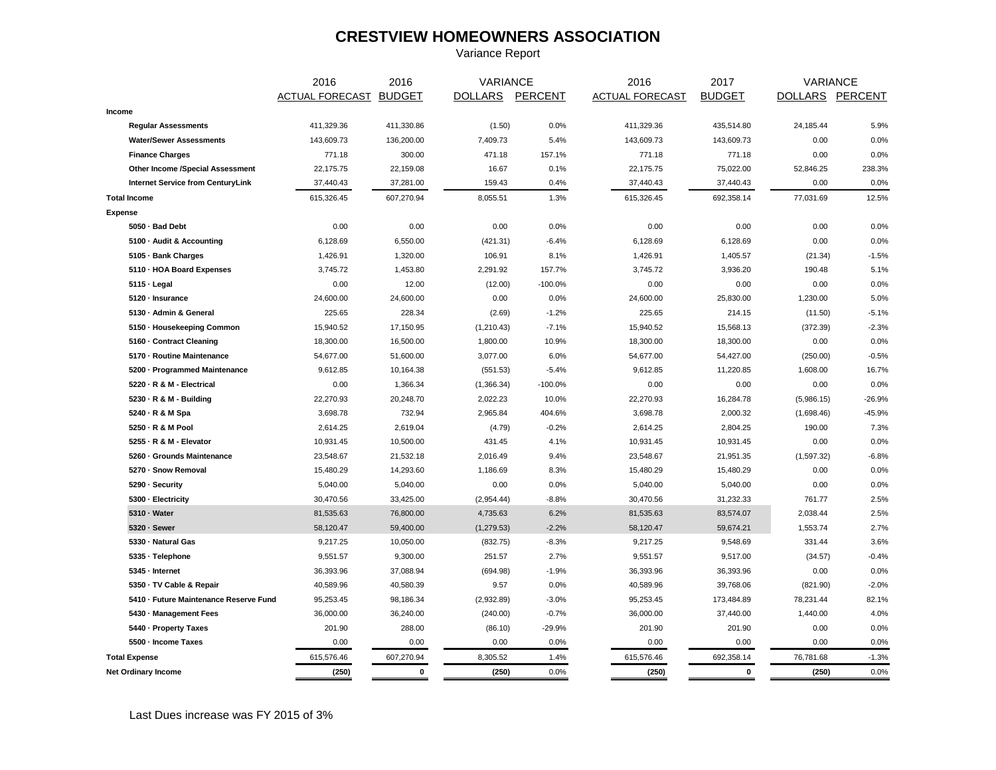## **CRESTVIEW HOMEOWNERS ASSOCIATION**

Variance Report

|                                        | 2016                   | 2016        | <b>VARIANCE</b> |           | 2016                   | 2017          |                 | <b>VARIANCE</b> |
|----------------------------------------|------------------------|-------------|-----------------|-----------|------------------------|---------------|-----------------|-----------------|
|                                        | ACTUAL FORECAST BUDGET |             | DOLLARS PERCENT |           | <b>ACTUAL FORECAST</b> | <b>BUDGET</b> | DOLLARS PERCENT |                 |
| Income                                 |                        |             |                 |           |                        |               |                 |                 |
| <b>Regular Assessments</b>             | 411,329.36             | 411,330.86  | (1.50)          | 0.0%      | 411,329.36             | 435,514.80    | 24,185.44       | 5.9%            |
| <b>Water/Sewer Assessments</b>         | 143,609.73             | 136,200.00  | 7,409.73        | 5.4%      | 143,609.73             | 143,609.73    | 0.00            | 0.0%            |
| <b>Finance Charges</b>                 | 771.18                 | 300.00      | 471.18          | 157.1%    | 771.18                 | 771.18        | 0.00            | 0.0%            |
| Other Income /Special Assessment       | 22,175.75              | 22,159.08   | 16.67           | 0.1%      | 22,175.75              | 75,022.00     | 52,846.25       | 238.3%          |
| Internet Service from CenturyLink      | 37,440.43              | 37,281.00   | 159.43          | 0.4%      | 37,440.43              | 37,440.43     | 0.00            | 0.0%            |
| <b>Total Income</b>                    | 615,326.45             | 607,270.94  | 8,055.51        | 1.3%      | 615,326.45             | 692,358.14    | 77,031.69       | 12.5%           |
| <b>Expense</b>                         |                        |             |                 |           |                        |               |                 |                 |
| 5050 - Bad Debt                        | 0.00                   | 0.00        | 0.00            | 0.0%      | 0.00                   | 0.00          | 0.00            | 0.0%            |
| 5100 - Audit & Accounting              | 6,128.69               | 6,550.00    | (421.31)        | $-6.4%$   | 6,128.69               | 6,128.69      | 0.00            | 0.0%            |
| 5105 · Bank Charges                    | 1,426.91               | 1,320.00    | 106.91          | 8.1%      | 1,426.91               | 1,405.57      | (21.34)         | $-1.5%$         |
| 5110 - HOA Board Expenses              | 3,745.72               | 1,453.80    | 2,291.92        | 157.7%    | 3,745.72               | 3,936.20      | 190.48          | 5.1%            |
| $5115 \cdot$ Legal                     | 0.00                   | 12.00       | (12.00)         | $-100.0%$ | 0.00                   | 0.00          | 0.00            | 0.0%            |
| 5120 - Insurance                       | 24,600.00              | 24,600.00   | 0.00            | 0.0%      | 24,600.00              | 25,830.00     | 1,230.00        | 5.0%            |
| 5130 - Admin & General                 | 225.65                 | 228.34      | (2.69)          | $-1.2%$   | 225.65                 | 214.15        | (11.50)         | $-5.1%$         |
| 5150 - Housekeeping Common             | 15,940.52              | 17,150.95   | (1,210.43)      | $-7.1%$   | 15,940.52              | 15,568.13     | (372.39)        | $-2.3%$         |
| 5160 - Contract Cleaning               | 18,300.00              | 16,500.00   | 1,800.00        | 10.9%     | 18,300.00              | 18,300.00     | 0.00            | 0.0%            |
| 5170 - Routine Maintenance             | 54,677.00              | 51,600.00   | 3,077.00        | 6.0%      | 54,677.00              | 54,427.00     | (250.00)        | $-0.5%$         |
| 5200 · Programmed Maintenance          | 9,612.85               | 10,164.38   | (551.53)        | $-5.4%$   | 9,612.85               | 11,220.85     | 1,608.00        | 16.7%           |
| 5220 · R & M - Electrical              | 0.00                   | 1,366.34    | (1,366.34)      | $-100.0%$ | 0.00                   | 0.00          | 0.00            | 0.0%            |
| 5230 · R & M - Building                | 22,270.93              | 20,248.70   | 2,022.23        | 10.0%     | 22,270.93              | 16,284.78     | (5,986.15)      | $-26.9%$        |
| 5240 · R & M Spa                       | 3,698.78               | 732.94      | 2,965.84        | 404.6%    | 3,698.78               | 2,000.32      | (1,698.46)      | $-45.9%$        |
| 5250 · R & M Pool                      | 2,614.25               | 2,619.04    | (4.79)          | $-0.2%$   | 2,614.25               | 2,804.25      | 190.00          | 7.3%            |
| 5255 - R & M - Elevator                | 10,931.45              | 10,500.00   | 431.45          | 4.1%      | 10,931.45              | 10,931.45     | 0.00            | 0.0%            |
| 5260 · Grounds Maintenance             | 23,548.67              | 21,532.18   | 2,016.49        | 9.4%      | 23,548.67              | 21,951.35     | (1,597.32)      | $-6.8%$         |
| 5270 · Snow Removal                    | 15,480.29              | 14,293.60   | 1,186.69        | 8.3%      | 15,480.29              | 15,480.29     | 0.00            | 0.0%            |
| 5290 - Security                        | 5,040.00               | 5,040.00    | 0.00            | 0.0%      | 5,040.00               | 5,040.00      | 0.00            | 0.0%            |
| 5300 - Electricity                     | 30,470.56              | 33,425.00   | (2,954.44)      | $-8.8%$   | 30,470.56              | 31,232.33     | 761.77          | 2.5%            |
| 5310 - Water                           | 81,535.63              | 76,800.00   | 4,735.63        | 6.2%      | 81,535.63              | 83,574.07     | 2,038.44        | 2.5%            |
| 5320 · Sewer                           | 58,120.47              | 59,400.00   | (1, 279.53)     | $-2.2%$   | 58,120.47              | 59,674.21     | 1,553.74        | 2.7%            |
| 5330 - Natural Gas                     | 9,217.25               | 10,050.00   | (832.75)        | $-8.3%$   | 9,217.25               | 9,548.69      | 331.44          | 3.6%            |
| 5335 · Telephone                       | 9,551.57               | 9,300.00    | 251.57          | 2.7%      | 9,551.57               | 9,517.00      | (34.57)         | $-0.4%$         |
| 5345 - Internet                        | 36,393.96              | 37,088.94   | (694.98)        | $-1.9%$   | 36,393.96              | 36,393.96     | 0.00            | 0.0%            |
| 5350 - TV Cable & Repair               | 40,589.96              | 40,580.39   | 9.57            | 0.0%      | 40,589.96              | 39,768.06     | (821.90)        | $-2.0%$         |
| 5410 - Future Maintenance Reserve Fund | 95,253.45              | 98,186.34   | (2,932.89)      | $-3.0%$   | 95,253.45              | 173,484.89    | 78,231.44       | 82.1%           |
| 5430 - Management Fees                 | 36,000.00              | 36,240.00   | (240.00)        | $-0.7%$   | 36,000.00              | 37,440.00     | 1,440.00        | 4.0%            |
| 5440 · Property Taxes                  | 201.90                 | 288.00      | (86.10)         | $-29.9%$  | 201.90                 | 201.90        | 0.00            | 0.0%            |
| 5500 - Income Taxes                    | 0.00                   | 0.00        | 0.00            | 0.0%      | 0.00                   | 0.00          | 0.00            | 0.0%            |
| <b>Total Expense</b>                   | 615,576.46             | 607,270.94  | 8,305.52        | 1.4%      | 615,576.46             | 692,358.14    | 76,781.68       | $-1.3%$         |
| <b>Net Ordinary Income</b>             | (250)                  | $\mathbf 0$ | (250)           | 0.0%      | (250)                  | $\mathbf 0$   | (250)           | 0.0%            |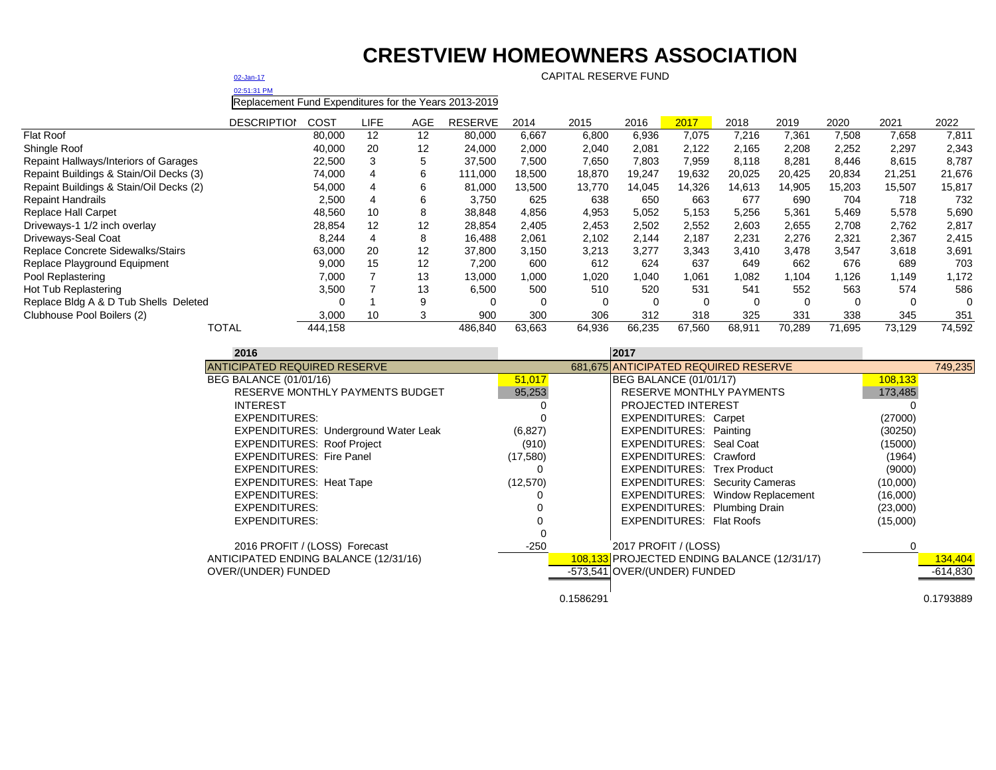# **CRESTVIEW HOMEOWNERS ASSOCIATION**

[02-Jan-17](mailto:=@NOW()#) CAPITAL RESERVE FUND

[02:51:31 PM](mailto:=@NOW()#)

Replacement Fund Expenditures for the Years 2013-2019

|                                         | <b>DESCRIPTION</b> | COST    | LIFE | AGE | <b>RESERVE</b> | 2014   | 2015   | 2016     | 2017   | 2018   | 2019   | 2020   | 2021     | 2022   |
|-----------------------------------------|--------------------|---------|------|-----|----------------|--------|--------|----------|--------|--------|--------|--------|----------|--------|
| <b>Flat Roof</b>                        |                    | 80,000  | 12   | 12  | 80,000         | 6,667  | 6,800  | 6,936    | 7,075  | 7,216  | 7,361  | 7,508  | 7,658    | 7,811  |
| Shingle Roof                            |                    | 40,000  | 20   | 12  | 24,000         | 2,000  | 2,040  | 2,081    | 2,122  | 2,165  | 2,208  | 2,252  | 2,297    | 2,343  |
| Repaint Hallways/Interiors of Garages   |                    | 22,500  |      | 5   | 37,500         | 7,500  | 7,650  | 7,803    | 7.959  | 8,118  | 8,281  | 8,446  | 8,615    | 8,787  |
| Repaint Buildings & Stain/Oil Decks (3) |                    | 74,000  | 4    | 6   | 111,000        | 18,500 | 18,870 | 19,247   | 19,632 | 20,025 | 20.425 | 20,834 | 21,251   | 21,676 |
| Repaint Buildings & Stain/Oil Decks (2) |                    | 54,000  |      | 6   | 81,000         | 13,500 | 13,770 | 14.045   | 14.326 | 14,613 | 14.905 | 15.203 | 15,507   | 15,817 |
| <b>Repaint Handrails</b>                |                    | 2,500   | 4    | 6   | 3,750          | 625    | 638    | 650      | 663    | 677    | 690    | 704    | 718      | 732    |
| <b>Replace Hall Carpet</b>              |                    | 48,560  | 10   | 8   | 38,848         | 4,856  | 4,953  | 5,052    | 5,153  | 5,256  | 5,361  | 5,469  | 5,578    | 5,690  |
| Driveways-1 1/2 inch overlay            |                    | 28,854  | 12   | 12  | 28,854         | 2,405  | 2,453  | 2,502    | 2,552  | 2,603  | 2,655  | 2,708  | 2,762    | 2,817  |
| Driveways-Seal Coat                     |                    | 8,244   | 4    | 8   | 16.488         | 2,061  | 2,102  | 2,144    | 2,187  | 2,231  | 2,276  | 2,321  | 2,367    | 2,415  |
| Replace Concrete Sidewalks/Stairs       |                    | 63,000  | 20   | 12  | 37,800         | 3.150  | 3.213  | 3.277    | 3,343  | 3.410  | 3.478  | 3.547  | 3,618    | 3,691  |
| Replace Playground Equipment            |                    | 9,000   | 15   | 12  | 7,200          | 600    | 612    | 624      | 637    | 649    | 662    | 676    | 689      | 703    |
| Pool Replastering                       |                    | 7,000   |      | 13  | 13,000         | 1,000  | 1,020  | 1,040    | 1,061  | 1,082  | 104. ا | .126   | 1,149    | 1,172  |
| Hot Tub Replastering                    |                    | 3,500   |      | 13  | 6,500          | 500    | 510    | 520      | 531    | 541    | 552    | 563    | 574      | 586    |
| Replace Bldg A & D Tub Shells Deleted   |                    |         |      | 9   |                |        |        | $\Omega$ | 0      |        | 0      | 0      | $\Omega$ |        |
| Clubhouse Pool Boilers (2)              |                    | 3,000   | 10   |     | 900            | 300    | 306    | 312      | 318    | 325    | 331    | 338    | 345      | 351    |
| <b>TOTAL</b>                            |                    | 444.158 |      |     | 486,840        | 63.663 | 64,936 | 66.235   | 67,560 | 68,911 | 70.289 | 71.695 | 73.129   | 74,592 |

| 2016                                        |           | 2017                                        |          |            |
|---------------------------------------------|-----------|---------------------------------------------|----------|------------|
| <b>ANTICIPATED REQUIRED RESERVE</b>         |           | 681,675 ANTICIPATED REQUIRED RESERVE        |          | 749,235    |
| BEG BALANCE (01/01/16)                      | 51,017    | <b>BEG BALANCE (01/01/17)</b>               | 108,133  |            |
| RESERVE MONTHLY PAYMENTS BUDGET             | 95,253    | RESERVE MONTHLY PAYMENTS                    | 173,485  |            |
| <b>INTEREST</b>                             |           | <b>PROJECTED INTEREST</b>                   |          |            |
| EXPENDITURES:                               |           | <b>EXPENDITURES: Carpet</b>                 | (27000)  |            |
| <b>EXPENDITURES: Underground Water Leak</b> | (6, 827)  | <b>EXPENDITURES: Painting</b>               | (30250)  |            |
| <b>EXPENDITURES: Roof Project</b>           | (910)     | EXPENDITURES: Seal Coat                     | (15000)  |            |
| <b>EXPENDITURES: Fire Panel</b>             | (17,580)  | EXPENDITURES: Crawford                      | (1964)   |            |
| <b>EXPENDITURES:</b>                        |           | <b>EXPENDITURES: Trex Product</b>           | (9000)   |            |
| <b>EXPENDITURES: Heat Tape</b>              | (12, 570) | <b>EXPENDITURES: Security Cameras</b>       | (10,000) |            |
| <b>EXPENDITURES:</b>                        |           | <b>EXPENDITURES: Window Replacement</b>     | (16,000) |            |
| <b>EXPENDITURES:</b>                        |           | EXPENDITURES: Plumbing Drain                | (23,000) |            |
| <b>EXPENDITURES:</b>                        |           | <b>EXPENDITURES: Flat Roofs</b>             | (15,000) |            |
|                                             |           |                                             |          |            |
| 2016 PROFIT / (LOSS) Forecast               | $-250$    | 2017 PROFIT / (LOSS)                        |          |            |
| ANTICIPATED ENDING BALANCE (12/31/16)       |           | 108,133 PROJECTED ENDING BALANCE (12/31/17) |          | 134,404    |
| OVER/(UNDER) FUNDED                         |           | -573,541 OVER/(UNDER) FUNDED                |          | $-614,830$ |
|                                             |           |                                             |          |            |
|                                             |           | 0.1586291                                   |          | 0.1793889  |